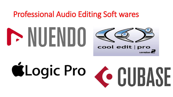#### Professional Audio Editing Soft wares



# ELogic Pro & CUBASE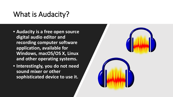#### What is Audacity?

- **Audacity is a free open source digital audio editor and recording computer software application, available for Windows, macOS/OS X, Linux and other operating systems.**
- **Interestingly, you do not need sound mixer or other sophisticated device to use it.**

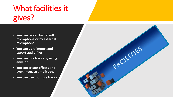## What facilities it gives?

- **You can record by default microphone or by external microphone.**
- **You can edit, import and export audio files.**
- **You can mix tracks by using envelop.**
- **You can create effects and even increase amplitude.**
- **You can use multiple tracks.**

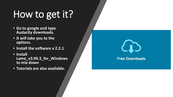# How to get it?

- **Go to google and type Audacity downloads.**
- **It will take you to the options.**
- **Install the software x 2.2.1**
- **Install Lame\_v3.99.3\_for\_Windows to mix down**
- **Tutorials are also available.**



**Free Downloads**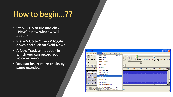### How to begin...??

- **Step-1- Go to file and click "New" a new window will appear**
- **Step-2- Go to "Tracks' toggle down and click on "Add New"**
- **A New Track will appear in which you can record your voice or sound.**
- **You can insert more tracks by same exercise.**

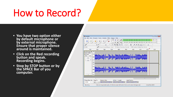## How to Record?

- **You have two option either by default microphone or by external microphone. Ensure that proper silence around is maintained.**
- **Click on the Red recording button and speak. Recording begins.**
- **Stop by STOP button or by the SPACE Bar of you computer.**

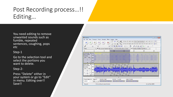#### Post Recording process…!! Editing…

You need editing to remove unwanted sounds such as fumble, repeated sentences, coughing, pops etc

#### Step-1

Go to the selection tool and select the portions you want to delete.

#### Step-2-

Press "Delete" either in your system or go to "Edit" in menu. Editing over!! Save!!

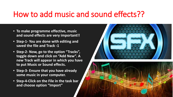#### How to add music and sound effects??

- **To make programme effective, music and sound effects are very important!!**
- **Step-1- You are done with editing and saved the file and Track -1**
- **Step-2- Now, go to the option "Tracks", toggle down and click on "Add New". A new Track will appear in which you have to put Music or Sound effects.**
- **Step-3- Ensure that you have already some music in your computer.**
- **Step-4-Click on the File in the task bar and choose option "Import"**



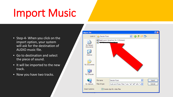# Import Music

- Step-4- When you click on the import option, your system will ask for the destination of AUDIO music file.
- Go to destination and select the piece of sound.
- It will be imported to the new track.
- Now you have two tracks.